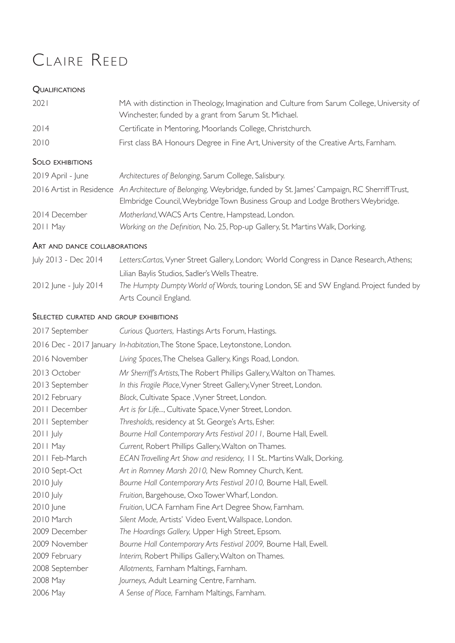# CLAIRE REED

## **QUALIFICATIONS**

| 2021                     | MA with distinction in Theology, Imagination and Culture from Sarum College, University of<br>Winchester, funded by a grant from Sarum St. Michael.                          |
|--------------------------|------------------------------------------------------------------------------------------------------------------------------------------------------------------------------|
| 2014                     | Certificate in Mentoring, Moorlands College, Christchurch.                                                                                                                   |
| 2010                     | First class BA Honours Degree in Fine Art, University of the Creative Arts, Farnham.                                                                                         |
| <b>SOLO EXHIBITIONS</b>  |                                                                                                                                                                              |
| 2019 April - June        | Architectures of Belonging, Sarum College, Salisbury.                                                                                                                        |
| 2016 Artist in Residence | An Architecture of Belonging, Weybridge, funded by St. James' Campaign, RC Sherriff Trust,<br>Elmbridge Council, Weybridge Town Business Group and Lodge Brothers Weybridge. |
| 2014 December            | Motherland, WACS Arts Centre, Hampstead, London.                                                                                                                             |
| $2011$ May               | Working on the Definition, No. 25, Pop-up Gallery, St. Martins Walk, Dorking.                                                                                                |

## ART AND DANCE COLLABORATIONS

| July 2013 - Dec 2014  | Letters:Cartas, Vyner Street Gallery, London; World Congress in Dance Research, Athens; |
|-----------------------|-----------------------------------------------------------------------------------------|
|                       | Lilian Baylis Studios, Sadler's Wells Theatre.                                          |
| 2012 June - July 2014 | The Humpty Dumpty World of Words, touring London, SE and SW England. Project funded by  |
|                       | Arts Council England.                                                                   |

## SELECTED CURATED AND GROUP EXHIBITIONS

| Curious Quarters, Hastings Arts Forum, Hastings.                             |
|------------------------------------------------------------------------------|
| 2016 Dec - 2017 January In-habitation, The Stone Space, Leytonstone, London. |
| Living Spaces, The Chelsea Gallery, Kings Road, London.                      |
| Mr Sherriff's Artists, The Robert Phillips Gallery, Walton on Thames.        |
| In this Fragile Place, Vyner Street Gallery, Vyner Street, London.           |
| Black, Cultivate Space, Vyner Street, London.                                |
| Art is for Life, Cultivate Space, Vyner Street, London.                      |
| Thresholds, residency at St. George's Arts, Esher.                           |
| Bourne Hall Contemporary Arts Festival 2011, Bourne Hall, Ewell.             |
| Current, Robert Phillips Gallery, Walton on Thames.                          |
| ECAN Travelling Art Show and residency, 11 St Martins Walk, Dorking.         |
| Art in Romney Marsh 2010, New Romney Church, Kent.                           |
| Bourne Hall Contemporary Arts Festival 2010, Bourne Hall, Ewell.             |
| Fruition, Bargehouse, Oxo Tower Wharf, London.                               |
| Fruition, UCA Farnham Fine Art Degree Show, Farnham.                         |
| Silent Mode, Artists' Video Event, Wallspace, London.                        |
| The Hoardings Gallery, Upper High Street, Epsom.                             |
| Bourne Hall Contemporary Arts Festival 2009, Bourne Hall, Ewell.             |
| Interim, Robert Phillips Gallery, Walton on Thames.                          |
| Allotments, Farnham Maltings, Farnham.                                       |
| Journeys, Adult Learning Centre, Farnham.                                    |
| A Sense of Place, Farnham Maltings, Farnham.                                 |
|                                                                              |